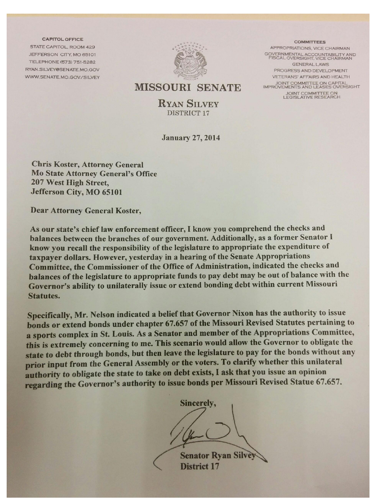**CAPITOL OFFICE** STATE CAPITOL, ROOM 429 JEFFERSON CITY, MO 65101 TELEPHONE (573) 751-5282 RYAN.SILVEY@SENATE.MO.GOV WWW.SENATE.MO.GOV/SILVEY



**COMMITTEES** APPROPRIATIONS, VICE CHAIRMAN GOVERNMENTAL ACCOUNTABILITY AND<br>FISCAL OVERSIGHT, VICE CHAIRMAN GENERAL LAWS PROGRESS AND DEVELOPMENT VETERANS' AFFAIRS AND HEALTH JOINT COMMITTEE ON CAPITAL<br>IMPROVEMENTS AND LEASES OVERSIGHT JOINT COMMITTEE ON<br>LEGISLATIVE RESEARCH

#### **MISSOURI SENATE**

**RYAN SILVEY** DISTRICT 17

**January 27, 2014** 

**Chris Koster, Attorney General Mo State Attorney General's Office** 207 West High Street, Jefferson City, MO 65101

**Dear Attorney General Koster,** 

As our state's chief law enforcement officer, I know you comprehend the checks and balances between the branches of our government. Additionally, as a former Senator I know you recall the responsibility of the legislature to appropriate the expenditure of taxpayer dollars. However, yesterday in a hearing of the Senate Appropriations Committee, the Commissioner of the Office of Administration, indicated the checks and balances of the legislature to appropriate funds to pay debt may be out of balance with the Governor's ability to unilaterally issue or extend bonding debt within current Missouri **Statutes.** 

Specifically, Mr. Nelson indicated a belief that Governor Nixon has the authority to issue bonds or extend bonds under chapter 67.657 of the Missouri Revised Statutes pertaining to a sports complex in St. Louis. As a Senator and member of the Appropriations Committee, this is extremely concerning to me. This scenario would allow the Governor to obligate the state to debt through bonds, but then leave the legislature to pay for the bonds without any prior input from the General Assembly or the voters. To clarify whether this unilateral authority to obligate the state to take on debt exists, I ask that you issue an opinion regarding the Governor's authority to issue bonds per Missouri Revised Statue 67.657.

Sincerely,

**Senator Ryan Silvey District 17**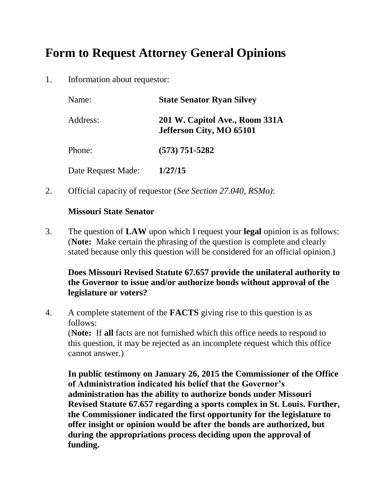# **Form to Request Attorney General Opinions**

1. Information about requestor:

| Name:              | <b>State Senator Ryan Silvey</b>                           |
|--------------------|------------------------------------------------------------|
| Address:           | 201 W. Capitol Ave., Room 331A<br>Jefferson City, MO 65101 |
| Phone:             | $(573) 751 - 5282$                                         |
| Date Request Made: | 1/27/15                                                    |

2. Official capacity of requestor (*See Section 27.040, RSMo)*:

#### **Missouri State Senator**

3. The question of **LAW** upon which I request your **legal** opinion is as follows: (**Note:** Make certain the phrasing of the question is complete and clearly stated because only this question will be considered for an official opinion.)

### **Does Missouri Revised Statute 67.657 provide the unilateral authority to the Governor to issue and/or authorize bonds without approval of the legislature or voters?**

4. A complete statement of the **FACTS** giving rise to this question is as follows:

(**Note:** If **all** facts are not furnished which this office needs to respond to this question, it may be rejected as an incomplete request which this office cannot answer.)

**In public testimony on January 26, 2015 the Commissioner of the Office of Administration indicated his belief that the Governor's administration has the ability to authorize bonds under Missouri Revised Statute 67.657 regarding a sports complex in St. Louis. Further, the Commissioner indicated the first opportunity for the legislature to offer insight or opinion would be after the bonds are authorized, but during the appropriations process deciding upon the approval of funding.**